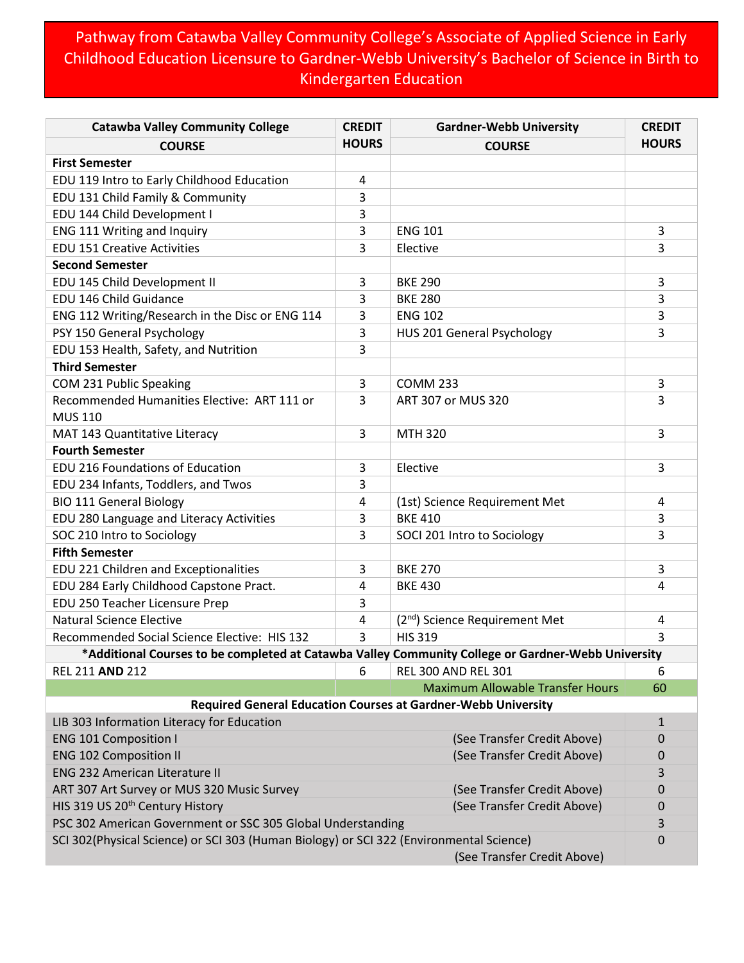## Pathway from Catawba Valley Community College's Associate of Applied Science in Early Childhood Education Licensure to Gardner-Webb University's Bachelor of Science in Birth to Kindergarten Education

| <b>Catawba Valley Community College</b>                                                                                | <b>CREDIT</b>               | <b>Gardner-Webb University</b>                                       | <b>CREDIT</b> |
|------------------------------------------------------------------------------------------------------------------------|-----------------------------|----------------------------------------------------------------------|---------------|
| <b>COURSE</b>                                                                                                          | <b>HOURS</b>                | <b>COURSE</b>                                                        | <b>HOURS</b>  |
| <b>First Semester</b>                                                                                                  |                             |                                                                      |               |
| EDU 119 Intro to Early Childhood Education                                                                             | 4                           |                                                                      |               |
| EDU 131 Child Family & Community                                                                                       | 3                           |                                                                      |               |
| EDU 144 Child Development I                                                                                            | 3                           |                                                                      |               |
| ENG 111 Writing and Inquiry                                                                                            | 3                           | <b>ENG 101</b>                                                       | 3             |
| <b>EDU 151 Creative Activities</b>                                                                                     | 3                           | Elective                                                             | 3             |
| <b>Second Semester</b>                                                                                                 |                             |                                                                      |               |
| EDU 145 Child Development II                                                                                           | 3                           | <b>BKE 290</b>                                                       | 3             |
| EDU 146 Child Guidance                                                                                                 | 3                           | <b>BKE 280</b>                                                       | 3             |
| ENG 112 Writing/Research in the Disc or ENG 114                                                                        | 3                           | <b>ENG 102</b>                                                       | 3             |
| PSY 150 General Psychology                                                                                             | 3                           | HUS 201 General Psychology                                           | 3             |
| EDU 153 Health, Safety, and Nutrition                                                                                  | 3                           |                                                                      |               |
| <b>Third Semester</b>                                                                                                  |                             |                                                                      |               |
| COM 231 Public Speaking                                                                                                | 3                           | <b>COMM 233</b>                                                      | 3             |
| Recommended Humanities Elective: ART 111 or<br><b>MUS 110</b>                                                          | 3                           | ART 307 or MUS 320                                                   | 3             |
| MAT 143 Quantitative Literacy                                                                                          | 3                           | <b>MTH 320</b>                                                       | 3             |
| <b>Fourth Semester</b>                                                                                                 |                             |                                                                      |               |
| <b>EDU 216 Foundations of Education</b>                                                                                | 3                           | Elective                                                             | 3             |
| EDU 234 Infants, Toddlers, and Twos                                                                                    | 3                           |                                                                      |               |
| <b>BIO 111 General Biology</b>                                                                                         | 4                           | (1st) Science Requirement Met                                        | 4             |
| EDU 280 Language and Literacy Activities                                                                               | 3                           | <b>BKE 410</b>                                                       | 3             |
| SOC 210 Intro to Sociology                                                                                             | 3                           | SOCI 201 Intro to Sociology                                          | 3             |
| <b>Fifth Semester</b>                                                                                                  |                             |                                                                      |               |
| EDU 221 Children and Exceptionalities                                                                                  | 3                           | <b>BKE 270</b>                                                       | 3             |
| EDU 284 Early Childhood Capstone Pract.                                                                                | 4                           | <b>BKE 430</b>                                                       | 4             |
| EDU 250 Teacher Licensure Prep                                                                                         | 3                           |                                                                      |               |
| <b>Natural Science Elective</b>                                                                                        | 4                           | (2 <sup>nd</sup> ) Science Requirement Met                           | 4             |
| Recommended Social Science Elective: HIS 132                                                                           | 3                           | <b>HIS 319</b>                                                       | 3             |
| Additional Courses to be completed at Catawba Valley Community College or Gardner-Webb University**                    |                             |                                                                      |               |
| REL 211 AND 212                                                                                                        | 6                           | <b>REL 300 AND REL 301</b>                                           | 6             |
|                                                                                                                        |                             | <b>Maximum Allowable Transfer Hours</b>                              | 60            |
|                                                                                                                        |                             | <b>Required General Education Courses at Gardner-Webb University</b> |               |
| LIB 303 Information Literacy for Education                                                                             |                             |                                                                      | $\mathbf{1}$  |
| <b>ENG 101 Composition I</b>                                                                                           | (See Transfer Credit Above) |                                                                      | $\mathbf 0$   |
| <b>ENG 102 Composition II</b>                                                                                          |                             | (See Transfer Credit Above)                                          | 0             |
| <b>ENG 232 American Literature II</b>                                                                                  |                             |                                                                      | 3             |
| ART 307 Art Survey or MUS 320 Music Survey                                                                             |                             | (See Transfer Credit Above)                                          | 0             |
| HIS 319 US 20 <sup>th</sup> Century History                                                                            |                             | (See Transfer Credit Above)                                          | 0             |
| PSC 302 American Government or SSC 305 Global Understanding                                                            |                             |                                                                      |               |
| SCI 302(Physical Science) or SCI 303 (Human Biology) or SCI 322 (Environmental Science)<br>(See Transfer Credit Above) |                             |                                                                      |               |